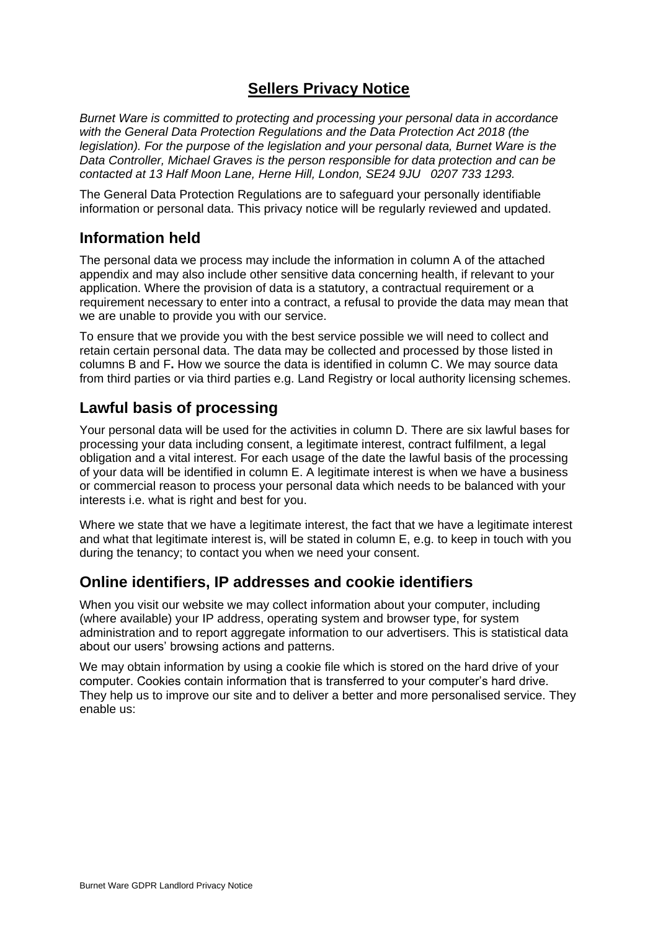# **Sellers Privacy Notice**

*Burnet Ware is committed to protecting and processing your personal data in accordance with the General Data Protection Regulations and the Data Protection Act 2018 (the legislation). For the purpose of the legislation and your personal data, Burnet Ware is the Data Controller, Michael Graves is the person responsible for data protection and can be contacted at 13 Half Moon Lane, Herne Hill, London, SE24 9JU 0207 733 1293.* 

The General Data Protection Regulations are to safeguard your personally identifiable information or personal data. This privacy notice will be regularly reviewed and updated.

## **Information held**

The personal data we process may include the information in column A of the attached appendix and may also include other sensitive data concerning health, if relevant to your application. Where the provision of data is a statutory, a contractual requirement or a requirement necessary to enter into a contract, a refusal to provide the data may mean that we are unable to provide you with our service.

To ensure that we provide you with the best service possible we will need to collect and retain certain personal data. The data may be collected and processed by those listed in columns B and F**.** How we source the data is identified in column C. We may source data from third parties or via third parties e.g. Land Registry or local authority licensing schemes.

## **Lawful basis of processing**

Your personal data will be used for the activities in column D. There are six lawful bases for processing your data including consent, a legitimate interest, contract fulfilment, a legal obligation and a vital interest. For each usage of the date the lawful basis of the processing of your data will be identified in column E. A legitimate interest is when we have a business or commercial reason to process your personal data which needs to be balanced with your interests i.e. what is right and best for you.

Where we state that we have a legitimate interest, the fact that we have a legitimate interest and what that legitimate interest is, will be stated in column E, e.g. to keep in touch with you during the tenancy; to contact you when we need your consent.

#### **Online identifiers, IP addresses and cookie identifiers**

When you visit our website we may collect information about your computer, including (where available) your IP address, operating system and browser type, for system administration and to report aggregate information to our advertisers. This is statistical data about our users' browsing actions and patterns.

We may obtain information by using a cookie file which is stored on the hard drive of your computer. Cookies contain information that is transferred to your computer's hard drive. They help us to improve our site and to deliver a better and more personalised service. They enable us: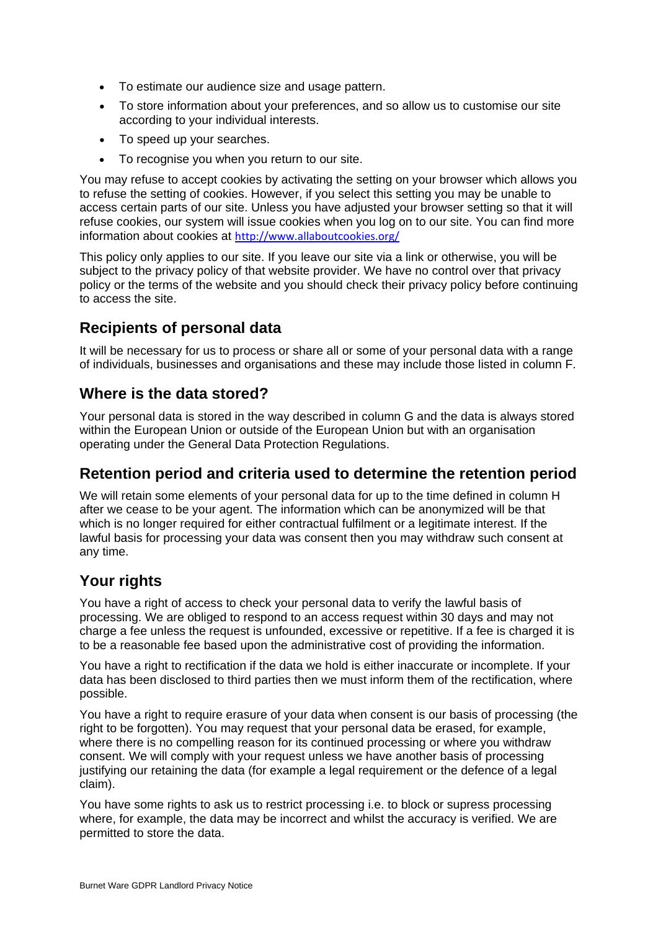- To estimate our audience size and usage pattern.
- To store information about your preferences, and so allow us to customise our site according to your individual interests.
- To speed up your searches.
- To recognise you when you return to our site.

You may refuse to accept cookies by activating the setting on your browser which allows you to refuse the setting of cookies. However, if you select this setting you may be unable to access certain parts of our site. Unless you have adjusted your browser setting so that it will refuse cookies, our system will issue cookies when you log on to our site. You can find more information about cookies at <http://www.allaboutcookies.org/>

This policy only applies to our site. If you leave our site via a link or otherwise, you will be subject to the privacy policy of that website provider. We have no control over that privacy policy or the terms of the website and you should check their privacy policy before continuing to access the site.

# **Recipients of personal data**

It will be necessary for us to process or share all or some of your personal data with a range of individuals, businesses and organisations and these may include those listed in column F.

## **Where is the data stored?**

Your personal data is stored in the way described in column G and the data is always stored within the European Union or outside of the European Union but with an organisation operating under the General Data Protection Regulations.

## **Retention period and criteria used to determine the retention period**

We will retain some elements of your personal data for up to the time defined in column H after we cease to be your agent. The information which can be anonymized will be that which is no longer required for either contractual fulfilment or a legitimate interest. If the lawful basis for processing your data was consent then you may withdraw such consent at any time.

# **Your rights**

You have a right of access to check your personal data to verify the lawful basis of processing. We are obliged to respond to an access request within 30 days and may not charge a fee unless the request is unfounded, excessive or repetitive. If a fee is charged it is to be a reasonable fee based upon the administrative cost of providing the information.

You have a right to rectification if the data we hold is either inaccurate or incomplete. If your data has been disclosed to third parties then we must inform them of the rectification, where possible.

You have a right to require erasure of your data when consent is our basis of processing (the right to be forgotten). You may request that your personal data be erased, for example, where there is no compelling reason for its continued processing or where you withdraw consent. We will comply with your request unless we have another basis of processing justifying our retaining the data (for example a legal requirement or the defence of a legal claim).

You have some rights to ask us to restrict processing i.e. to block or supress processing where, for example, the data may be incorrect and whilst the accuracy is verified. We are permitted to store the data.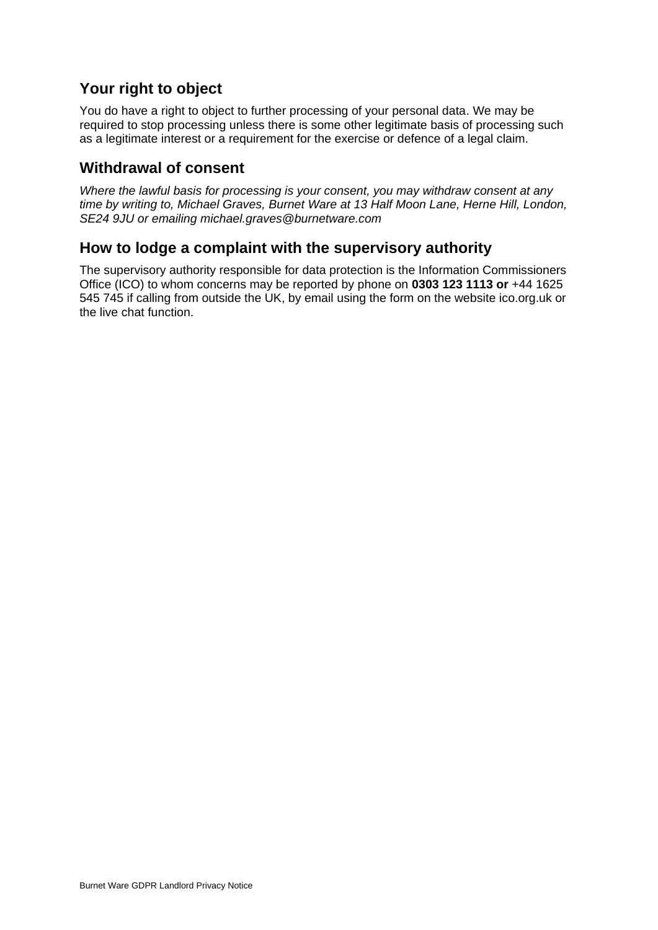# **Your right to object**

You do have a right to object to further processing of your personal data. We may be required to stop processing unless there is some other legitimate basis of processing such as a legitimate interest or a requirement for the exercise or defence of a legal claim.

#### **Withdrawal of consent**

*Where the lawful basis for processing is your consent, you may withdraw consent at any time by writing to, Michael Graves, Burnet Ware at 13 Half Moon Lane, Herne Hill, London, SE24 9JU or emailing michael.graves@burnetware.com*

#### **How to lodge a complaint with the supervisory authority**

The supervisory authority responsible for data protection is the Information Commissioners Office (ICO) to whom concerns may be reported by phone on **0303 123 1113 or** +44 1625 545 745 if calling from outside the UK, by email using the form on the website ico.org.uk or the live chat function.